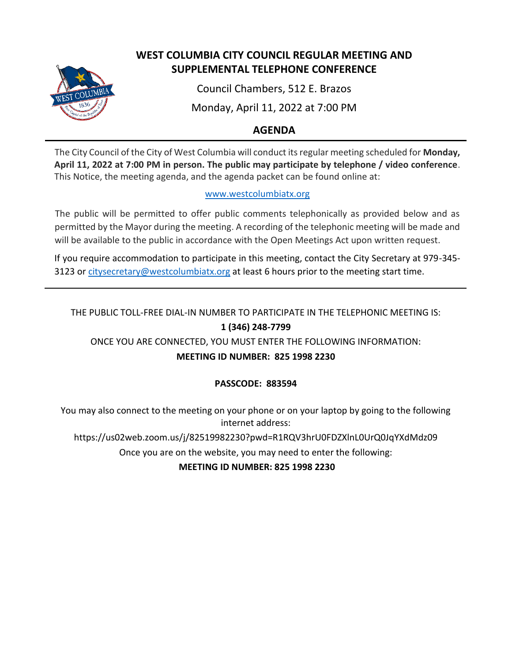

# **WEST COLUMBIA CITY COUNCIL REGULAR MEETING AND SUPPLEMENTAL TELEPHONE CONFERENCE**

Council Chambers, 512 E. Brazos

Monday, April 11, 2022 at 7:00 PM

# **AGENDA**

The City Council of the City of West Columbia will conduct its regular meeting scheduled for **Monday, April 11, 2022 at 7:00 PM in person. The public may participate by telephone / video conference**. This Notice, the meeting agenda, and the agenda packet can be found online at:

## [www.westcolumbiatx.org](http://www.westcolumbiatx.org/)

The public will be permitted to offer public comments telephonically as provided below and as permitted by the Mayor during the meeting. A recording of the telephonic meeting will be made and will be available to the public in accordance with the Open Meetings Act upon written request.

If you require accommodation to participate in this meeting, contact the City Secretary at 979-345 3123 or [citysecretary@westcolumbiatx.org](mailto:citysecretary@westcolumbiatx.org) at least 6 hours prior to the meeting start time.

# THE PUBLIC TOLL-FREE DIAL-IN NUMBER TO PARTICIPATE IN THE TELEPHONIC MEETING IS: **1 (346) 248-7799**

ONCE YOU ARE CONNECTED, YOU MUST ENTER THE FOLLOWING INFORMATION:

# **MEETING ID NUMBER: 825 1998 2230**

# **PASSCODE: 883594**

You may also connect to the meeting on your phone or on your laptop by going to the following internet address:

https://us02web.zoom.us/j/82519982230?pwd=R1RQV3hrU0FDZXlnL0UrQ0JqYXdMdz09

Once you are on the website, you may need to enter the following:

**MEETING ID NUMBER: 825 1998 2230**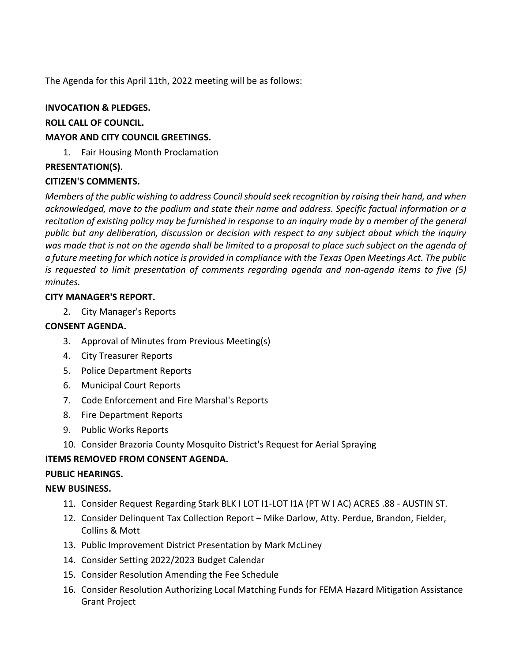The Agenda for this April 11th, 2022 meeting will be as follows:

### **INVOCATION & PLEDGES.**

#### **ROLL CALL OF COUNCIL.**

#### **MAYOR AND CITY COUNCIL GREETINGS.**

1. Fair Housing Month Proclamation

#### **PRESENTATION(S).**

#### **CITIZEN'S COMMENTS.**

*Members of the public wishing to address Council should seek recognition by raising their hand, and when acknowledged, move to the podium and state their name and address. Specific factual information or a recitation of existing policy may be furnished in response to an inquiry made by a member of the general public but any deliberation, discussion or decision with respect to any subject about which the inquiry was made that is not on the agenda shall be limited to a proposal to place such subject on the agenda of a future meeting for which notice is provided in compliance with the Texas Open Meetings Act. The public is requested to limit presentation of comments regarding agenda and non-agenda items to five (5) minutes.*

#### **CITY MANAGER'S REPORT.**

2. City Manager's Reports

### **CONSENT AGENDA.**

- 3. Approval of Minutes from Previous Meeting(s)
- 4. City Treasurer Reports
- 5. Police Department Reports
- 6. Municipal Court Reports
- 7. Code Enforcement and Fire Marshal's Reports
- 8. Fire Department Reports
- 9. Public Works Reports
- 10. Consider Brazoria County Mosquito District's Request for Aerial Spraying

## **ITEMS REMOVED FROM CONSENT AGENDA.**

#### **PUBLIC HEARINGS.**

#### **NEW BUSINESS.**

- 11. Consider Request Regarding Stark BLK I LOT I1-LOT I1A (PT W I AC) ACRES .88 AUSTIN ST.
- 12. Consider Delinquent Tax Collection Report Mike Darlow, Atty. Perdue, Brandon, Fielder, Collins & Mott
- 13. Public Improvement District Presentation by Mark McLiney
- 14. Consider Setting 2022/2023 Budget Calendar
- 15. Consider Resolution Amending the Fee Schedule
- 16. Consider Resolution Authorizing Local Matching Funds for FEMA Hazard Mitigation Assistance Grant Project